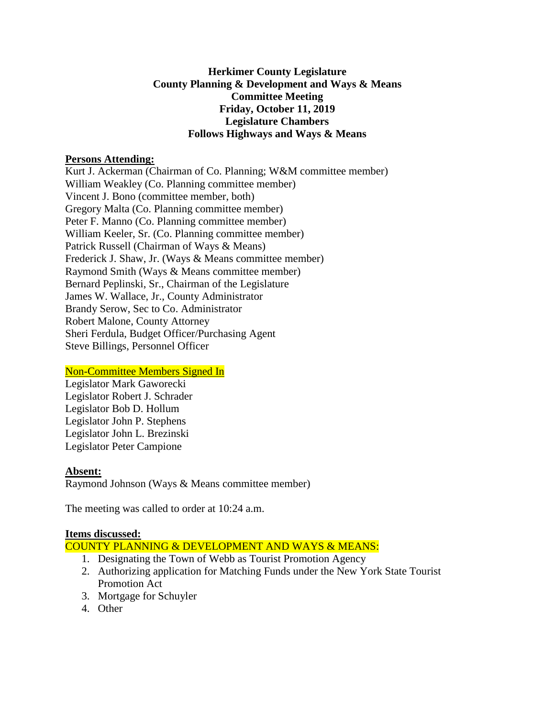## **Herkimer County Legislature County Planning & Development and Ways & Means Committee Meeting Friday, October 11, 2019 Legislature Chambers Follows Highways and Ways & Means**

#### **Persons Attending:**

Kurt J. Ackerman (Chairman of Co. Planning; W&M committee member) William Weakley (Co. Planning committee member) Vincent J. Bono (committee member, both) Gregory Malta (Co. Planning committee member) Peter F. Manno (Co. Planning committee member) William Keeler, Sr. (Co. Planning committee member) Patrick Russell (Chairman of Ways & Means) Frederick J. Shaw, Jr. (Ways & Means committee member) Raymond Smith (Ways & Means committee member) Bernard Peplinski, Sr., Chairman of the Legislature James W. Wallace, Jr., County Administrator Brandy Serow, Sec to Co. Administrator Robert Malone, County Attorney Sheri Ferdula, Budget Officer/Purchasing Agent Steve Billings, Personnel Officer

# Non-Committee Members Signed In

Legislator Mark Gaworecki Legislator Robert J. Schrader Legislator Bob D. Hollum Legislator John P. Stephens Legislator John L. Brezinski Legislator Peter Campione

# **Absent:**

Raymond Johnson (Ways & Means committee member)

The meeting was called to order at 10:24 a.m.

#### **Items discussed:**

- COUNTY PLANNING & DEVELOPMENT AND WAYS & MEANS:
	- 1. Designating the Town of Webb as Tourist Promotion Agency
	- 2. Authorizing application for Matching Funds under the New York State Tourist Promotion Act
	- 3. Mortgage for Schuyler
	- 4. Other